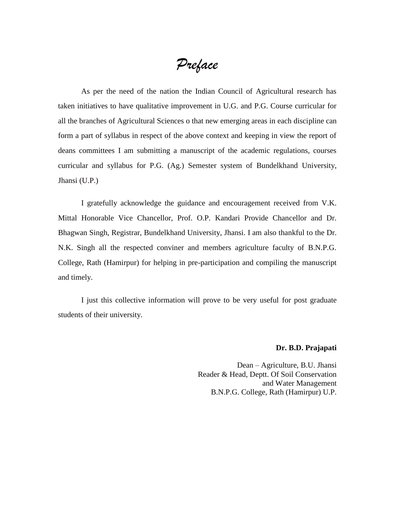*Preface*

As per the need of the nation the Indian Council of Agricultural research has taken initiatives to have qualitative improvement in U.G. and P.G. Course curricular for all the branches of Agricultural Sciences o that new emerging areas in each discipline can form a part of syllabus in respect of the above context and keeping in view the report of deans committees I am submitting a manuscript of the academic regulations, courses curricular and syllabus for P.G. (Ag.) Semester system of Bundelkhand University, Jhansi (U.P.)

I gratefully acknowledge the guidance and encouragement received from V.K. Mittal Honorable Vice Chancellor, Prof. O.P. Kandari Provide Chancellor and Dr. Bhagwan Singh, Registrar, Bundelkhand University, Jhansi. I am also thankful to the Dr. N.K. Singh all the respected conviner and members agriculture faculty of B.N.P.G. College, Rath (Hamirpur) for helping in pre-participation and compiling the manuscript and timely.

I just this collective information will prove to be very useful for post graduate students of their university.

## **Dr. B.D. Prajapati**

Dean – Agriculture, B.U. Jhansi Reader & Head, Deptt. Of Soil Conservation and Water Management B.N.P.G. College, Rath (Hamirpur) U.P.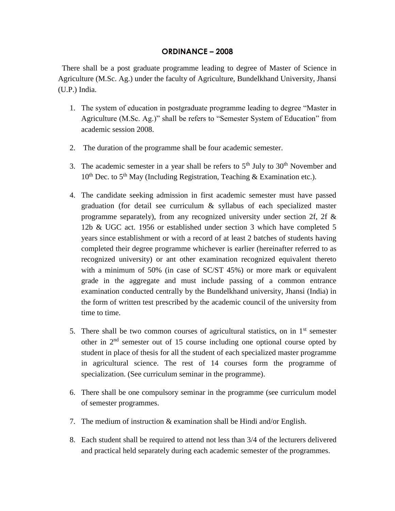## **ORDINANCE – 2008**

 There shall be a post graduate programme leading to degree of Master of Science in Agriculture (M.Sc. Ag.) under the faculty of Agriculture, Bundelkhand University, Jhansi (U.P.) India.

- 1. The system of education in postgraduate programme leading to degree "Master in Agriculture (M.Sc. Ag.)" shall be refers to "Semester System of Education" from academic session 2008.
- 2. The duration of the programme shall be four academic semester.
- 3. The academic semester in a year shall be refers to  $5<sup>th</sup>$  July to  $30<sup>th</sup>$  November and  $10^{th}$  Dec. to  $5^{th}$  May (Including Registration, Teaching & Examination etc.).
- 4. The candidate seeking admission in first academic semester must have passed graduation (for detail see curriculum & syllabus of each specialized master programme separately), from any recognized university under section 2f, 2f  $\&$ 12b & UGC act. 1956 or established under section 3 which have completed 5 years since establishment or with a record of at least 2 batches of students having completed their degree programme whichever is earlier (hereinafter referred to as recognized university) or ant other examination recognized equivalent thereto with a minimum of 50% (in case of SC/ST 45%) or more mark or equivalent grade in the aggregate and must include passing of a common entrance examination conducted centrally by the Bundelkhand university, Jhansi (India) in the form of written test prescribed by the academic council of the university from time to time.
- 5. There shall be two common courses of agricultural statistics, on in  $1<sup>st</sup>$  semester other in 2nd semester out of 15 course including one optional course opted by student in place of thesis for all the student of each specialized master programme in agricultural science. The rest of 14 courses form the programme of specialization. (See curriculum seminar in the programme).
- 6. There shall be one compulsory seminar in the programme (see curriculum model of semester programmes.
- 7. The medium of instruction & examination shall be Hindi and/or English.
- 8. Each student shall be required to attend not less than 3/4 of the lecturers delivered and practical held separately during each academic semester of the programmes.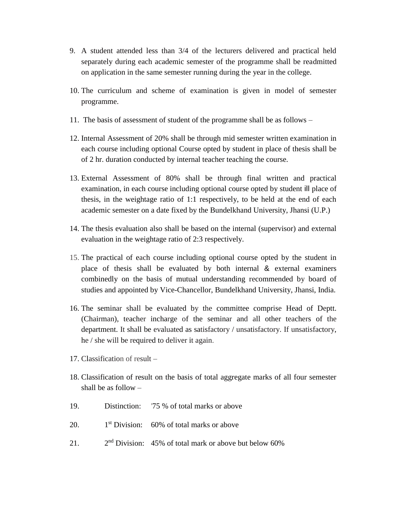- 9. A student attended less than 3/4 of the lecturers delivered and practical held separately during each academic semester of the programme shall be readmitted on application in the same semester running during the year in the college.
- 10. The curriculum and scheme of examination is given in model of semester programme.
- 11. The basis of assessment of student of the programme shall be as follows –
- 12. Internal Assessment of 20% shall be through mid semester written examination in each course including optional Course opted by student in place of thesis shall be of 2 hr. duration conducted by internal teacher teaching the course.
- 13. External Assessment of 80% shall be through final written and practical examination, in each course including optional course opted by student ill place of thesis, in the weightage ratio of 1:1 respectively, to be held at the end of each academic semester on a date fixed by the Bundelkhand University, Jhansi (U.P.)
- 14. The thesis evaluation also shall be based on the internal (supervisor) and external evaluation in the weightage ratio of 2:3 respectively.
- 15. The practical of each course including optional course opted by the student in place of thesis shall be evaluated by both internal & external examiners combinedly on the basis of mutual understanding recommended by board of studies and appointed by Vice-Chancellor, Bundelkhand University, Jhansi, India.
- 16. The seminar shall be evaluated by the committee comprise Head of Deptt. (Chairman), teacher incharge of the seminar and all other teachers of the department. It shall be evaluated as satisfactory / unsatisfactory. If unsatisfactory, he / she will be required to deliver it again.
- 17. Classification of result –
- 18. Classification of result on the basis of total aggregate marks of all four semester shall be as follow –
- 19. Distinction: '75 % of total marks or above
- $20<sup>-1</sup>$  $1<sup>st</sup> Division: 60% of total marks or above$
- 21.  $2<sup>nd</sup>$  Division: 45% of total mark or above but below 60%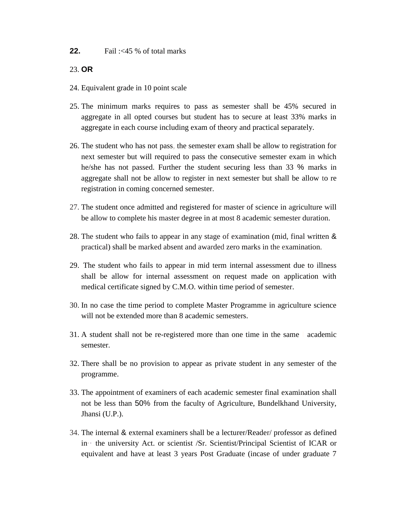## **22.** Fail :<45 % of total marks

23. **OR** 

- 24. Equivalent grade in 10 point scale
- 25. The minimum marks requires to pass as semester shall be 45% secured in aggregate in all opted courses but student has to secure at least 33% marks in aggregate in each course including exam of theory and practical separately.
- 26. The student who has not pass, the semester exam shall be allow to registration for next semester but will required to pass the consecutive semester exam in which he/she has not passed. Further the student securing less than 33 % marks in aggregate shall not be allow to register in next semester but shall be allow to re registration in coming concerned semester.
- 27. The student once admitted and registered for master of science in agriculture will be allow to complete his master degree in at most 8 academic semester duration.
- 28. The student who fails to appear in any stage of examination (mid, final written & practical) shall be marked absent and awarded zero marks in the examination.
- 29. The student who fails to appear in mid term internal assessment due to illness shall be allow for internal assessment on request made on application with medical certificate signed by C.M.O. within time period of semester.
- 30. In no case the time period to complete Master Programme in agriculture science will not be extended more than 8 academic semesters.
- 31. A student shall not be re-registered more than one time in the same I academic semester.
- 32. There shall be no provision to appear as private student in any semester of the programme.
- 33. The appointment of examiners of each academic semester final examination shall not be less than 50% from the faculty of Agriculture, Bundelkhand University, Jhansi (U.P.).
- 34. The internal & external examiners shall be a lecturer/Reader/ professor as defined in·· the university Act. or scientist /Sr. Scientist/Principal Scientist of ICAR or equivalent and have at least 3 years Post Graduate (incase of under graduate 7